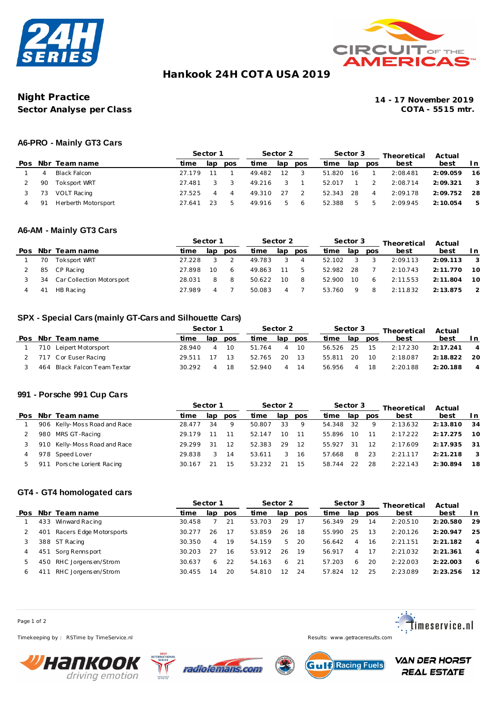



# **Hankook 24H COT A USA 2019**

## **Night Practice 14 - 17 November 2019 Sector Analyse per Class**

### **A6-PRO - Mainly GT3 Cars**

|     |                     | Sector 1 |     |            | Sector 2 |               |     |        | Sector 3 |                | Theoretical | Actual   |                            |  |
|-----|---------------------|----------|-----|------------|----------|---------------|-----|--------|----------|----------------|-------------|----------|----------------------------|--|
|     | Pos Nbr Team name   | time     | lap | <b>DOS</b> | time     | lap           | pos | time   | lap      | pos            | best        | best     | ln                         |  |
| 4   | Black Falcon        | 27 17 9  |     |            | 49.482   | 12            |     | 51.820 | 16       |                | 2:08.481    | 2:09.059 | 16                         |  |
| 90  | Toksport WRT        | 27.481   |     |            | 49.216   |               |     | 52.017 |          |                | 2:08.714    | 2:09.321 | $\overline{\phantom{a}}$ 3 |  |
| 73  | <b>VOLT Racing</b>  | 27.525   |     | 4          | 49.310   | 27            |     | 52.343 | -28      | $\overline{4}$ | 2:09.178    | 2:09.752 | - 28                       |  |
| -91 | Herberth Motorsport | 27.641   |     | 5          | 49.916   | $\mathcal{F}$ | - 6 | 52.388 | b        | b.             | 2:09.945    | 2:10.054 | -5                         |  |

#### **A6-AM - Mainly GT3 Cars**

|                |              | Sector 1                                                    |     |            | Sector 2 |     |                |        |       |            | Theoretical | Actual    |                          |  |
|----------------|--------------|-------------------------------------------------------------|-----|------------|----------|-----|----------------|--------|-------|------------|-------------|-----------|--------------------------|--|
|                |              | time                                                        | lap | <b>DOS</b> | time     | lap | pos            | time   | lap   | <b>DOS</b> | best        | best      | In.                      |  |
| 70             | Toksport WRT | 27.228                                                      |     |            | 49.783   |     | $\overline{4}$ | 52.102 | - 3   | 3          | 2:09.113    | 2:09.113  | $\overline{\phantom{a}}$ |  |
| 85             |              | 27.898                                                      | 10  | 6          | 49.863   | 11  | 5              | 52.982 | - 28  |            | 2:10.743    | 2:11.770  | - 10                     |  |
| 34             |              | 28.031                                                      | 8   | -8         | 50.622   | 10  | - 8            | 52.900 | - 1 O | -6         | 2:11.553    | 2: 11.804 | -10                      |  |
| 4 <sup>1</sup> | HB Racing    | 27.989                                                      | 4   |            | 50.083   |     |                | 53.760 | 9     | -8         | 2:11.832    | 2:13.875  | $\overline{2}$           |  |
|                |              | Pos Nbr Team name<br>CP Racing<br>Car Collection Motorsport |     |            |          |     |                |        |       |            | Sector 3    |           |                          |  |

## **SPX - Special Cars (mainly GT-Cars and Silhouette Cars)**

|                              |        | Sector 1 |     |        | Sector 2 |      |        | Sector 3 |     | Theoretical | Actual   |                |  |
|------------------------------|--------|----------|-----|--------|----------|------|--------|----------|-----|-------------|----------|----------------|--|
| Pos Nbr Team name            | time.  | lan      | pos | time   | lap      | pos  | time   | lap      | pos | best        | best     | I n            |  |
| 710 Leipert Motorsport       | 28.940 |          | 10  | 51.764 |          | 10   | 56.526 | 25       | 15  | 2:17.230    | 2:17.241 | $\overline{4}$ |  |
| 2 717 Cor Euser Racing       | 29.511 | 17       | -13 | 52.765 | 20       | - 13 | 55.811 | 20       | 10  | 2:18.087    | 2:18.822 | -20            |  |
| 464 Black Falcon Team Textar | 30.292 |          | 18  | 52.940 |          | 14   | 56.956 |          | 18  | 2:20.188    | 2:20.188 | $\overline{4}$ |  |

#### **991 - Porsche 991 Cup Cars**

|     |     |                              | Sector 1 |     | Sector 2   |        |     | Sector 3 |        |     | Theoretical | Actual   |          |      |
|-----|-----|------------------------------|----------|-----|------------|--------|-----|----------|--------|-----|-------------|----------|----------|------|
| Pos |     | Nbr Team name                | time     | lap | <b>DOS</b> | time   | lap | pos      | time   | lap | pos         | best     | best     | In.  |
|     |     | 906 Kelly-Moss Road and Race | 28.477   | 34  | -9         | 50.807 | 33  | 9        | 54.348 | -32 | 9           | 2:13.632 | 2:13.810 | -34  |
|     |     | 980 MRS GT-Racing            | 29.179   |     | 11         | 52.147 | 10  | - 11     | 55.896 | 10  | 11          | 2:17.222 | 2:17.275 | 10   |
|     |     | 910 Kelly-Moss Road and Race | 29.299   | 31  | -12        | 52.383 | 29  | 12       | 55.927 | 31  | 12          | 2:17.609 | 2:17.935 | -31  |
|     |     | 978 Speed Lover              | 29.838   |     | 14         | 53.611 |     | -16      | 57.668 | 8   | 23          | 2:21.117 | 2:21.218 | -3   |
|     | 911 | Porsche Lorient Racing       | 30.167   | 21  | 15         | 53.232 | 21  | -15      | 58.744 | 22  | 28          | 2:22.143 | 2:30.894 | - 18 |
|     |     |                              |          |     |            |        |     |          |        |     |             |          |          |      |

### **GT4 - GT4 homologated cars**

|     |     |                         | Sector 1 |     |     | Sector 2 |     |     | Sector 3 |          | Theoretical | Actual   |           |                |
|-----|-----|-------------------------|----------|-----|-----|----------|-----|-----|----------|----------|-------------|----------|-----------|----------------|
| Pos |     | Nbr Team name           | time     | lap | pos | time     | lap | pos | time     | lap      | pos         | best     | best      | In.            |
|     | 433 | Winward Racing          | 30.458   |     | 21  | 53.703   | 29  | -17 | 56.349   | 29       | 14          | 2:20.510 | 2:20.580  | 29             |
|     | 401 | Racers Edge Motorsports | 30.277   | 26  | 17  | 53.859   | 26  | 18  | 55.990   | 25       | 13          | 2:20.126 | 2:20.947  | 25             |
|     |     | 388 ST Racing           | 30.350   | 4   | 19  | 54.159   | 5   | -20 | 56.642   | $\Delta$ | 16          | 2:21.151 | 2: 21.182 | $\overline{4}$ |
|     | 451 | Sorg Rennsport          | 30.203   | -27 | 16  | 53.912   | 26  | 19  | 56.917   | 4        | 17          | 2:21.032 | 2: 21.361 | 4              |
| b.  |     | 450 RHC Jorgensen/Strom | 30.637   | 6.  | 22  | 54.163   | 6   | 21  | 57.203   | 6        | 20          | 2:22.003 | 2:22.003  | 6              |
| 6   | 41  | RHC Jorgensen/Strom     | 30.455   | 14  | 20  | 54.810   | 12  | 24  | 57824    | 12       | 25          | 2:23.089 | 2:23.256  | 12             |

Page 1 of 2

Timekeeping by : RSTime by TimeService.nl Results: <www.getraceresults.com>









**VAN DER HORST REAL ESTATE**